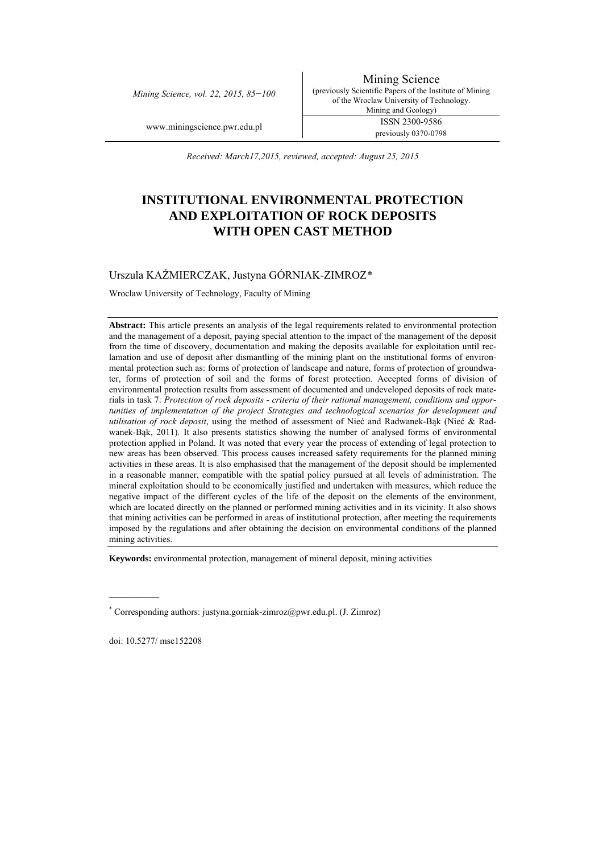*Mining Science, vol. 22, 2015, 85−100* 

Mining Science (previously Scientific Papers of the Institute of Mining of the Wroclaw University of Technology. Mining and Geology) www.miningscience.pwr.edu.pl ISSN 2300-9586 previously 0370-0798

*Received: March17,2015, reviewed, accepted: August 25, 2015* 

# **INSTITUTIONAL ENVIRONMENTAL PROTECTION AND EXPLOITATION OF ROCK DEPOSITS WITH OPEN CAST METHOD**

# Urszula KAŹMIERCZAK, Justyna GÓRNIAK-ZIMROZ[\\*](#page-0-0)

Wroclaw University of Technology, Faculty of Mining

**Abstract:** This article presents an analysis of the legal requirements related to environmental protection and the management of a deposit, paying special attention to the impact of the management of the deposit from the time of discovery, documentation and making the deposits available for exploitation until reclamation and use of deposit after dismantling of the mining plant on the institutional forms of environmental protection such as: forms of protection of landscape and nature, forms of protection of groundwater, forms of protection of soil and the forms of forest protection. Accepted forms of division of environmental protection results from assessment of documented and undeveloped deposits of rock materials in task 7: *Protection of rock deposits - criteria of their rational management, conditions and opportunities of implementation of the project Strategies and technological scenarios for development and utilisation of rock deposit*, using the method of assessment of Nieć and Radwanek-Bąk (Nieć & Radwanek-Bąk, 2011)*.* It also presents statistics showing the number of analysed forms of environmental protection applied in Poland. It was noted that every year the process of extending of legal protection to new areas has been observed. This process causes increased safety requirements for the planned mining activities in these areas. It is also emphasised that the management of the deposit should be implemented in a reasonable manner, compatible with the spatial policy pursued at all levels of administration. The mineral exploitation should to be economically justified and undertaken with measures, which reduce the negative impact of the different cycles of the life of the deposit on the elements of the environment, which are located directly on the planned or performed mining activities and in its vicinity. It also shows that mining activities can be performed in areas of institutional protection, after meeting the requirements imposed by the regulations and after obtaining the decision on environmental conditions of the planned mining activities.

**Keywords:** environmental protection, management of mineral deposit, mining activities

 $\mathcal{L}_\text{max}$ 

<span id="page-0-0"></span><sup>\*</sup> Corresponding authors: justyna.gorniak-zimroz@pwr.edu.pl. (J. Zimroz)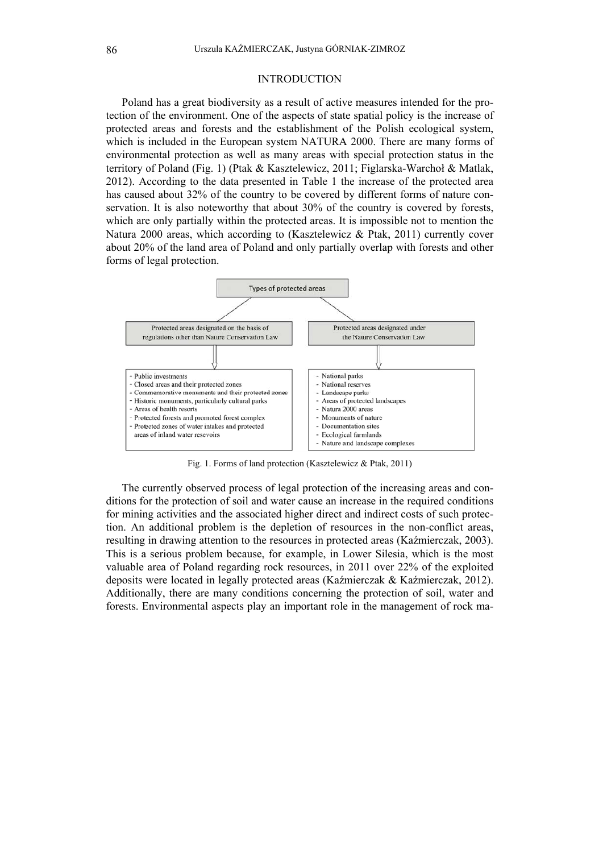### INTRODUCTION

Poland has a great biodiversity as a result of active measures intended for the protection of the environment. One of the aspects of state spatial policy is the increase of protected areas and forests and the establishment of the Polish ecological system, which is included in the European system NATURA 2000. There are many forms of environmental protection as well as many areas with special protection status in the territory of Poland (Fig. 1) (Ptak & Kasztelewicz, 2011; Figlarska-Warchoł & Matlak, 2012). According to the data presented in Table 1 the increase of the protected area has caused about 32% of the country to be covered by different forms of nature conservation. It is also noteworthy that about 30% of the country is covered by forests, which are only partially within the protected areas. It is impossible not to mention the Natura 2000 areas, which according to (Kasztelewicz & Ptak, 2011) currently cover about 20% of the land area of Poland and only partially overlap with forests and other forms of legal protection.



Fig. 1. Forms of land protection (Kasztelewicz & Ptak, 2011)

The currently observed process of legal protection of the increasing areas and conditions for the protection of soil and water cause an increase in the required conditions for mining activities and the associated higher direct and indirect costs of such protection. An additional problem is the depletion of resources in the non-conflict areas, resulting in drawing attention to the resources in protected areas (Kaźmierczak, 2003). This is a serious problem because, for example, in Lower Silesia, which is the most valuable area of Poland regarding rock resources, in 2011 over 22% of the exploited deposits were located in legally protected areas (Kaźmierczak & Kaźmierczak, 2012). Additionally, there are many conditions concerning the protection of soil, water and forests. Environmental aspects play an important role in the management of rock ma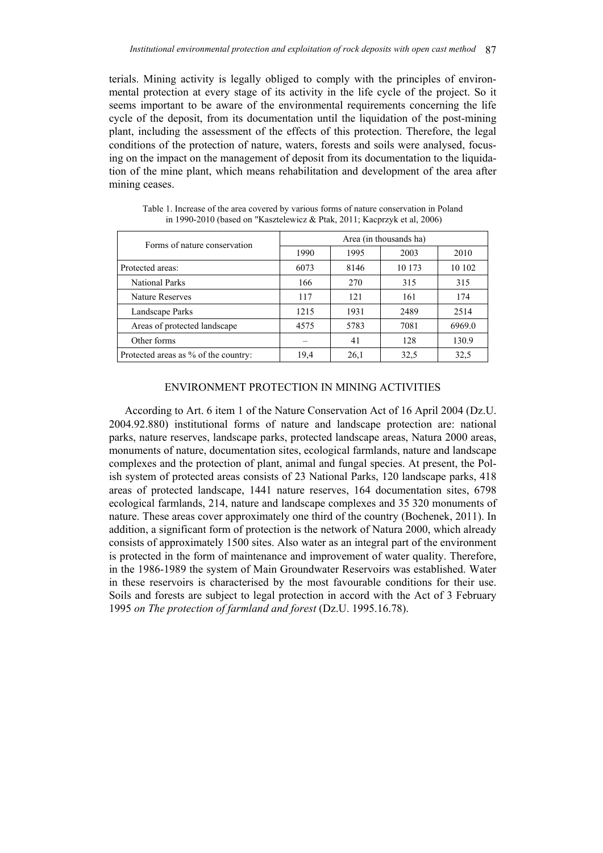terials. Mining activity is legally obliged to comply with the principles of environmental protection at every stage of its activity in the life cycle of the project. So it seems important to be aware of the environmental requirements concerning the life cycle of the deposit, from its documentation until the liquidation of the post-mining plant, including the assessment of the effects of this protection. Therefore, the legal conditions of the protection of nature, waters, forests and soils were analysed, focusing on the impact on the management of deposit from its documentation to the liquidation of the mine plant, which means rehabilitation and development of the area after mining ceases.

| Forms of nature conservation         | Area (in thousands ha) |      |        |        |
|--------------------------------------|------------------------|------|--------|--------|
|                                      | 1990                   | 1995 | 2003   | 2010   |
| Protected areas:                     | 6073                   | 8146 | 10 173 | 10 102 |
| <b>National Parks</b>                | 166                    | 270  | 315    | 315    |
| <b>Nature Reserves</b>               | 117                    | 121  | 161    | 174    |
| Landscape Parks                      | 1215                   | 1931 | 2489   | 2514   |
| Areas of protected landscape         | 4575                   | 5783 | 7081   | 6969.0 |
| Other forms                          |                        | 41   | 128    | 130.9  |
| Protected areas as % of the country: | 19,4                   | 26,1 | 32.5   | 32,5   |

Table 1. Increase of the area covered by various forms of nature conservation in Poland in 1990-2010 (based on "Kasztelewicz & Ptak, 2011; Kacprzyk et al, 2006)

# ENVIRONMENT PROTECTION IN MINING ACTIVITIES

According to Art. 6 item 1 of the Nature Conservation Act of 16 April 2004 (Dz.U. 2004.92.880) institutional forms of nature and landscape protection are: national parks, nature reserves, landscape parks, protected landscape areas, Natura 2000 areas, monuments of nature, documentation sites, ecological farmlands, nature and landscape complexes and the protection of plant, animal and fungal species. At present, the Polish system of protected areas consists of 23 National Parks, 120 landscape parks, 418 areas of protected landscape, 1441 nature reserves, 164 documentation sites, 6798 ecological farmlands, 214, nature and landscape complexes and 35 320 monuments of nature. These areas cover approximately one third of the country (Bochenek, 2011). In addition, a significant form of protection is the network of Natura 2000, which already consists of approximately 1500 sites. Also water as an integral part of the environment is protected in the form of maintenance and improvement of water quality. Therefore, in the 1986-1989 the system of Main Groundwater Reservoirs was established. Water in these reservoirs is characterised by the most favourable conditions for their use. Soils and forests are subject to legal protection in accord with the Act of 3 February 1995 *on The protection of farmland and forest* (Dz.U. 1995.16.78).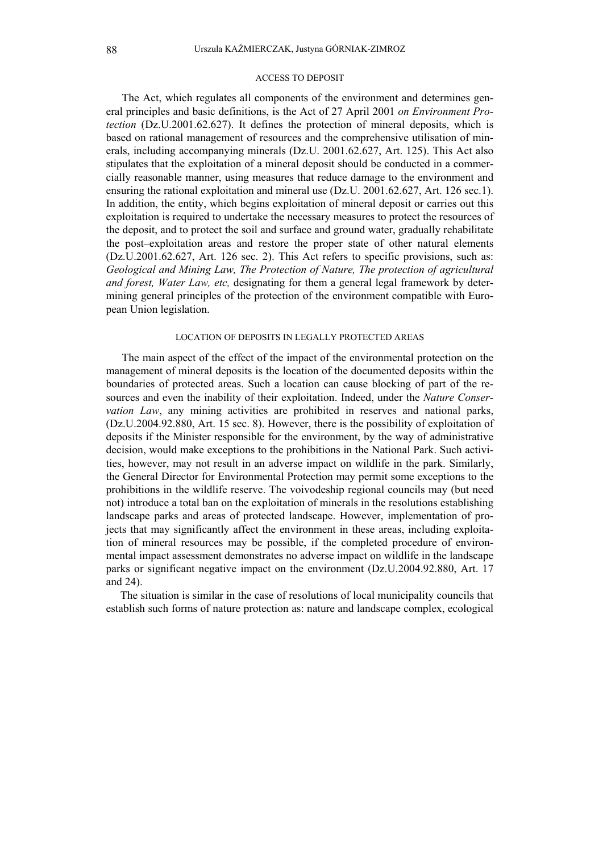#### ACCESS TO DEPOSIT

The Act, which regulates all components of the environment and determines general principles and basic definitions, is the Act of 27 April 2001 *on Environment Protection* (Dz.U.2001.62.627). It defines the protection of mineral deposits, which is based on rational management of resources and the comprehensive utilisation of minerals, including accompanying minerals (Dz.U. 2001.62.627, Art. 125). This Act also stipulates that the exploitation of a mineral deposit should be conducted in a commercially reasonable manner, using measures that reduce damage to the environment and ensuring the rational exploitation and mineral use (Dz.U. 2001.62.627, Art. 126 sec.1). In addition, the entity, which begins exploitation of mineral deposit or carries out this exploitation is required to undertake the necessary measures to protect the resources of the deposit, and to protect the soil and surface and ground water, gradually rehabilitate the post–exploitation areas and restore the proper state of other natural elements (Dz.U.2001.62.627, Art. 126 sec. 2). This Act refers to specific provisions, such as: *Geological and Mining Law, The Protection of Nature, The protection of agricultural and forest, Water Law, etc,* designating for them a general legal framework by determining general principles of the protection of the environment compatible with European Union legislation.

#### LOCATION OF DEPOSITS IN LEGALLY PROTECTED AREAS

The main aspect of the effect of the impact of the environmental protection on the management of mineral deposits is the location of the documented deposits within the boundaries of protected areas. Such a location can cause blocking of part of the resources and even the inability of their exploitation. Indeed, under the *Nature Conservation Law*, any mining activities are prohibited in reserves and national parks, (Dz.U.2004.92.880, Art. 15 sec. 8). However, there is the possibility of exploitation of deposits if the Minister responsible for the environment, by the way of administrative decision, would make exceptions to the prohibitions in the National Park. Such activities, however, may not result in an adverse impact on wildlife in the park. Similarly, the General Director for Environmental Protection may permit some exceptions to the prohibitions in the wildlife reserve. The voivodeship regional councils may (but need not) introduce a total ban on the exploitation of minerals in the resolutions establishing landscape parks and areas of protected landscape. However, implementation of projects that may significantly affect the environment in these areas, including exploitation of mineral resources may be possible, if the completed procedure of environmental impact assessment demonstrates no adverse impact on wildlife in the landscape parks or significant negative impact on the environment (Dz.U.2004.92.880, Art. 17 and 24).

The situation is similar in the case of resolutions of local municipality councils that establish such forms of nature protection as: nature and landscape complex, ecological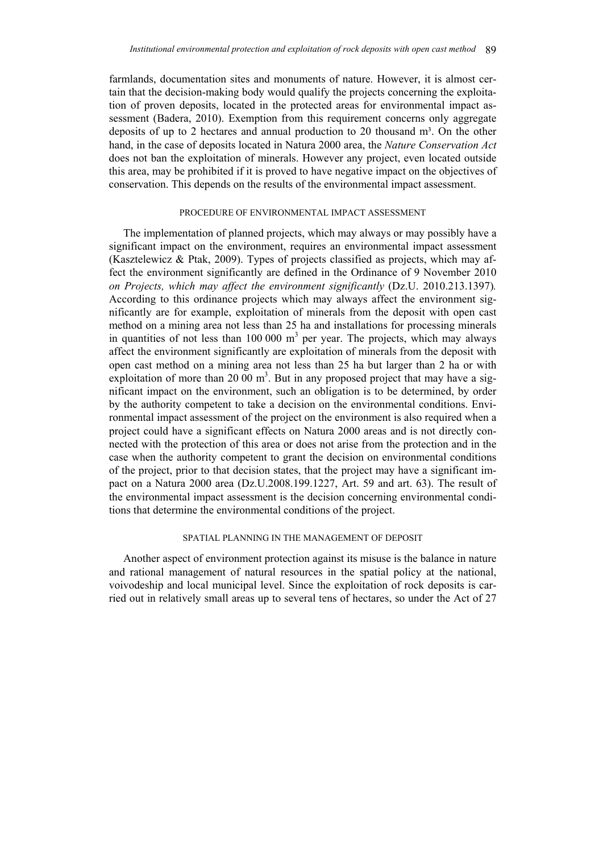farmlands, documentation sites and monuments of nature. However, it is almost certain that the decision-making body would qualify the projects concerning the exploitation of proven deposits, located in the protected areas for environmental impact assessment (Badera, 2010). Exemption from this requirement concerns only aggregate deposits of up to 2 hectares and annual production to 20 thousand m<sup>3</sup>. On the other hand, in the case of deposits located in Natura 2000 area, the *Nature Conservation Act* does not ban the exploitation of minerals. However any project, even located outside this area, may be prohibited if it is proved to have negative impact on the objectives of conservation. This depends on the results of the environmental impact assessment.

#### PROCEDURE OF ENVIRONMENTAL IMPACT ASSESSMENT

The implementation of planned projects, which may always or may possibly have a significant impact on the environment, requires an environmental impact assessment (Kasztelewicz & Ptak, 2009). Types of projects classified as projects, which may affect the environment significantly are defined in the Ordinance of 9 November 2010 *on Projects, which may affect the environment significantly* (Dz.U. 2010.213.1397)*.*  According to this ordinance projects which may always affect the environment significantly are for example, exploitation of minerals from the deposit with open cast method on a mining area not less than 25 ha and installations for processing minerals in quantities of not less than  $100\,000\ \text{m}^3$  per year. The projects, which may always affect the environment significantly are exploitation of minerals from the deposit with open cast method on a mining area not less than 25 ha but larger than 2 ha or with exploitation of more than 20 00  $m<sup>3</sup>$ . But in any proposed project that may have a significant impact on the environment, such an obligation is to be determined, by order by the authority competent to take a decision on the environmental conditions. Environmental impact assessment of the project on the environment is also required when a project could have a significant effects on Natura 2000 areas and is not directly connected with the protection of this area or does not arise from the protection and in the case when the authority competent to grant the decision on environmental conditions of the project, prior to that decision states, that the project may have a significant impact on a Natura 2000 area (Dz.U.2008.199.1227, Art. 59 and art. 63). The result of the environmental impact assessment is the decision concerning environmental conditions that determine the environmental conditions of the project.

#### SPATIAL PLANNING IN THE MANAGEMENT OF DEPOSIT

Another aspect of environment protection against its misuse is the balance in nature and rational management of natural resources in the spatial policy at the national, voivodeship and local municipal level. Since the exploitation of rock deposits is carried out in relatively small areas up to several tens of hectares, so under the Act of 27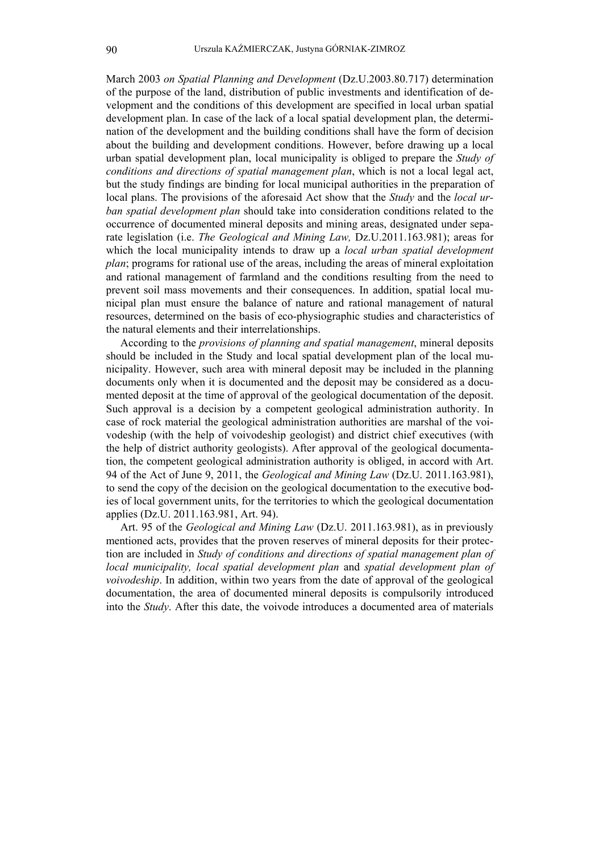March 2003 *on Spatial Planning and Development* (Dz.U.2003.80.717) determination of the purpose of the land, distribution of public investments and identification of development and the conditions of this development are specified in local urban spatial development plan. In case of the lack of a local spatial development plan, the determination of the development and the building conditions shall have the form of decision about the building and development conditions. However, before drawing up a local urban spatial development plan, local municipality is obliged to prepare the *Study of conditions and directions of spatial management plan*, which is not a local legal act, but the study findings are binding for local municipal authorities in the preparation of local plans. The provisions of the aforesaid Act show that the *Study* and the *local urban spatial development plan* should take into consideration conditions related to the occurrence of documented mineral deposits and mining areas, designated under separate legislation (i.e. *The Geological and Mining Law,* Dz.U.2011.163.981); areas for which the local municipality intends to draw up a *local urban spatial development plan*; programs for rational use of the areas, including the areas of mineral exploitation and rational management of farmland and the conditions resulting from the need to prevent soil mass movements and their consequences. In addition, spatial local municipal plan must ensure the balance of nature and rational management of natural resources, determined on the basis of eco-physiographic studies and characteristics of the natural elements and their interrelationships.

According to the *provisions of planning and spatial management*, mineral deposits should be included in the Study and local spatial development plan of the local municipality. However, such area with mineral deposit may be included in the planning documents only when it is documented and the deposit may be considered as a documented deposit at the time of approval of the geological documentation of the deposit. Such approval is a decision by a competent geological administration authority. In case of rock material the geological administration authorities are marshal of the voivodeship (with the help of voivodeship geologist) and district chief executives (with the help of district authority geologists). After approval of the geological documentation, the competent geological administration authority is obliged, in accord with Art. 94 of the Act of June 9, 2011, the *Geological and Mining Law* (Dz.U. 2011.163.981), to send the copy of the decision on the geological documentation to the executive bodies of local government units, for the territories to which the geological documentation applies (Dz.U. 2011.163.981, Art. 94).

Art. 95 of the *Geological and Mining Law* (Dz.U. 2011.163.981), as in previously mentioned acts, provides that the proven reserves of mineral deposits for their protection are included in *Study of conditions and directions of spatial management plan of local municipality, local spatial development plan* and *spatial development plan of voivodeship*. In addition, within two years from the date of approval of the geological documentation, the area of documented mineral deposits is compulsorily introduced into the *Study*. After this date, the voivode introduces a documented area of materials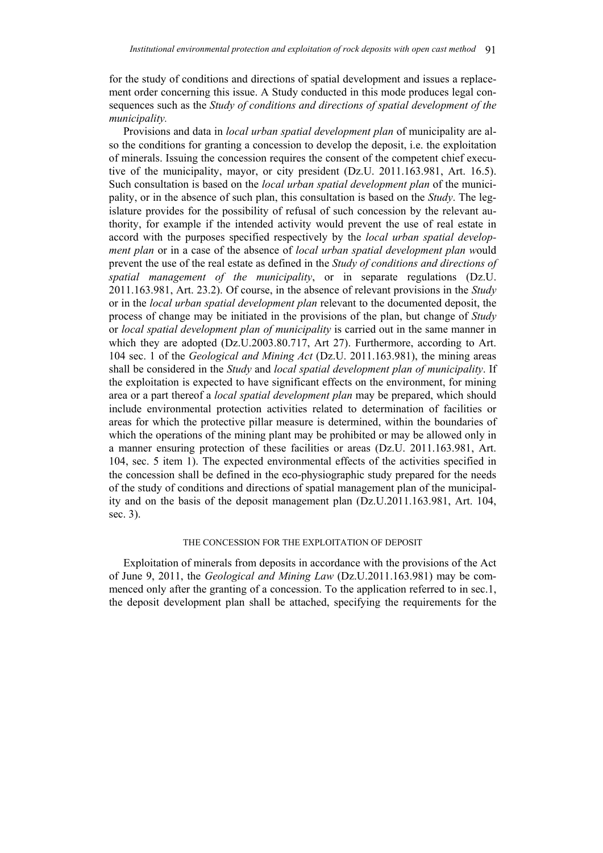for the study of conditions and directions of spatial development and issues a replacement order concerning this issue. A Study conducted in this mode produces legal consequences such as the *Study of conditions and directions of spatial development of the municipality.* 

Provisions and data in *local urban spatial development plan* of municipality are also the conditions for granting a concession to develop the deposit, i.e. the exploitation of minerals. Issuing the concession requires the consent of the competent chief executive of the municipality, mayor, or city president (Dz.U. 2011.163.981, Art. 16.5). Such consultation is based on the *local urban spatial development plan* of the municipality, or in the absence of such plan, this consultation is based on the *Study*. The legislature provides for the possibility of refusal of such concession by the relevant authority, for example if the intended activity would prevent the use of real estate in accord with the purposes specified respectively by the *local urban spatial development plan* or in a case of the absence of *local urban spatial development plan w*ould prevent the use of the real estate as defined in the *Study of conditions and directions of spatial management of the municipality*, or in separate regulations (Dz.U. 2011.163.981, Art. 23.2). Of course, in the absence of relevant provisions in the *Study* or in the *local urban spatial development plan* relevant to the documented deposit, the process of change may be initiated in the provisions of the plan, but change of *Study* or *local spatial development plan of municipality* is carried out in the same manner in which they are adopted (Dz.U.2003.80.717, Art 27). Furthermore, according to Art. 104 sec. 1 of the *Geological and Mining Act* (Dz.U. 2011.163.981), the mining areas shall be considered in the *Study* and *local spatial development plan of municipality*. If the exploitation is expected to have significant effects on the environment, for mining area or a part thereof a *local spatial development plan* may be prepared, which should include environmental protection activities related to determination of facilities or areas for which the protective pillar measure is determined, within the boundaries of which the operations of the mining plant may be prohibited or may be allowed only in a manner ensuring protection of these facilities or areas (Dz.U. 2011.163.981, Art. 104, sec. 5 item 1). The expected environmental effects of the activities specified in the concession shall be defined in the eco-physiographic study prepared for the needs of the study of conditions and directions of spatial management plan of the municipality and on the basis of the deposit management plan (Dz.U.2011.163.981, Art. 104, sec. 3).

### THE CONCESSION FOR THE EXPLOITATION OF DEPOSIT

Exploitation of minerals from deposits in accordance with the provisions of the Act of June 9, 2011, the *Geological and Mining Law* (Dz.U.2011.163.981) may be commenced only after the granting of a concession. To the application referred to in sec.1, the deposit development plan shall be attached, specifying the requirements for the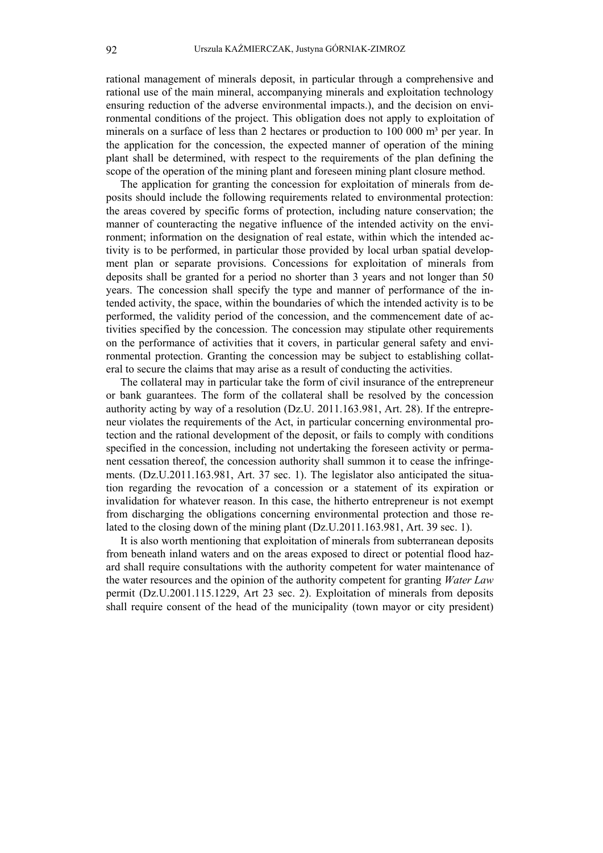rational management of minerals deposit, in particular through a comprehensive and rational use of the main mineral, accompanying minerals and exploitation technology ensuring reduction of the adverse environmental impacts.), and the decision on environmental conditions of the project. This obligation does not apply to exploitation of minerals on a surface of less than 2 hectares or production to  $100\ 000\ \text{m}^3$  per year. In the application for the concession, the expected manner of operation of the mining plant shall be determined, with respect to the requirements of the plan defining the scope of the operation of the mining plant and foreseen mining plant closure method.

The application for granting the concession for exploitation of minerals from deposits should include the following requirements related to environmental protection: the areas covered by specific forms of protection, including nature conservation; the manner of counteracting the negative influence of the intended activity on the environment; information on the designation of real estate, within which the intended activity is to be performed, in particular those provided by local urban spatial development plan or separate provisions. Concessions for exploitation of minerals from deposits shall be granted for a period no shorter than 3 years and not longer than 50 years. The concession shall specify the type and manner of performance of the intended activity, the space, within the boundaries of which the intended activity is to be performed, the validity period of the concession, and the commencement date of activities specified by the concession. The concession may stipulate other requirements on the performance of activities that it covers, in particular general safety and environmental protection. Granting the concession may be subject to establishing collateral to secure the claims that may arise as a result of conducting the activities.

The collateral may in particular take the form of civil insurance of the entrepreneur or bank guarantees. The form of the collateral shall be resolved by the concession authority acting by way of a resolution (Dz.U. 2011.163.981, Art. 28). If the entrepreneur violates the requirements of the Act, in particular concerning environmental protection and the rational development of the deposit, or fails to comply with conditions specified in the concession, including not undertaking the foreseen activity or permanent cessation thereof, the concession authority shall summon it to cease the infringements. (Dz.U.2011.163.981, Art. 37 sec. 1). The legislator also anticipated the situation regarding the revocation of a concession or a statement of its expiration or invalidation for whatever reason. In this case, the hitherto entrepreneur is not exempt from discharging the obligations concerning environmental protection and those related to the closing down of the mining plant (Dz.U.2011.163.981, Art. 39 sec. 1).

It is also worth mentioning that exploitation of minerals from subterranean deposits from beneath inland waters and on the areas exposed to direct or potential flood hazard shall require consultations with the authority competent for water maintenance of the water resources and the opinion of the authority competent for granting *Water Law* permit (Dz.U.2001.115.1229, Art 23 sec. 2). Exploitation of minerals from deposits shall require consent of the head of the municipality (town mayor or city president)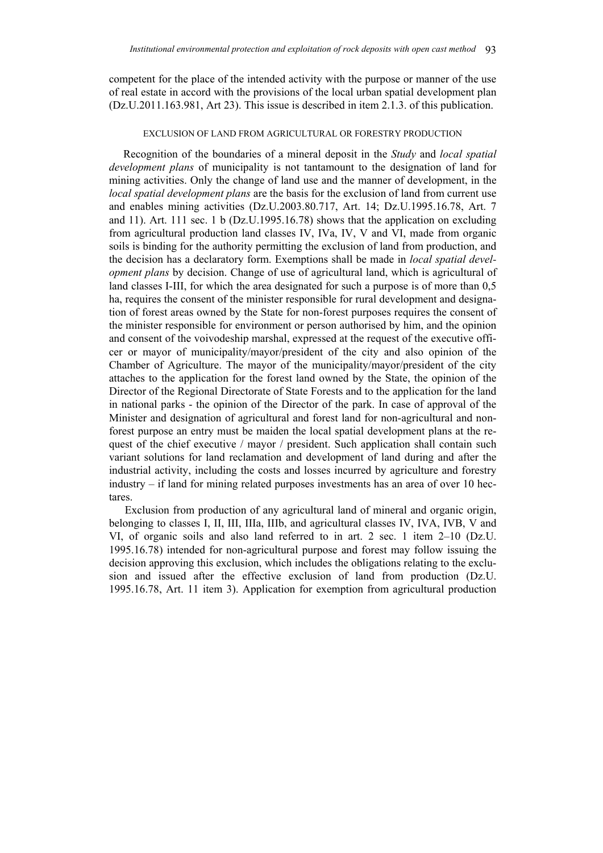competent for the place of the intended activity with the purpose or manner of the use of real estate in accord with the provisions of the local urban spatial development plan (Dz.U.2011.163.981, Art 23). This issue is described in item 2.1.3. of this publication.

#### EXCLUSION OF LAND FROM AGRICULTURAL OR FORESTRY PRODUCTION

Recognition of the boundaries of a mineral deposit in the *Study* and *local spatial development plans* of municipality is not tantamount to the designation of land for mining activities. Only the change of land use and the manner of development, in the *local spatial development plans* are the basis for the exclusion of land from current use and enables mining activities (Dz.U.2003.80.717, Art. 14; Dz.U.1995.16.78, Art. 7 and 11). Art. 111 sec. 1 b (Dz.U.1995.16.78) shows that the application on excluding from agricultural production land classes IV, IVa, IV, V and VI, made from organic soils is binding for the authority permitting the exclusion of land from production, and the decision has a declaratory form. Exemptions shall be made in *local spatial development plans* by decision. Change of use of agricultural land, which is agricultural of land classes I-III, for which the area designated for such a purpose is of more than  $0.5$ ha, requires the consent of the minister responsible for rural development and designation of forest areas owned by the State for non-forest purposes requires the consent of the minister responsible for environment or person authorised by him, and the opinion and consent of the voivodeship marshal, expressed at the request of the executive officer or mayor of municipality/mayor/president of the city and also opinion of the Chamber of Agriculture. The mayor of the municipality/mayor/president of the city attaches to the application for the forest land owned by the State, the opinion of the Director of the Regional Directorate of State Forests and to the application for the land in national parks - the opinion of the Director of the park. In case of approval of the Minister and designation of agricultural and forest land for non-agricultural and nonforest purpose an entry must be maiden the local spatial development plans at the request of the chief executive / mayor / president. Such application shall contain such variant solutions for land reclamation and development of land during and after the industrial activity, including the costs and losses incurred by agriculture and forestry industry – if land for mining related purposes investments has an area of over 10 hectares.

Exclusion from production of any agricultural land of mineral and organic origin, belonging to classes I, II, III, IIIa, IIIb, and agricultural classes IV, IVA, IVB, V and VI, of organic soils and also land referred to in art. 2 sec. 1 item 2–10 (Dz.U. 1995.16.78) intended for non-agricultural purpose and forest may follow issuing the decision approving this exclusion, which includes the obligations relating to the exclusion and issued after the effective exclusion of land from production (Dz.U. 1995.16.78, Art. 11 item 3). Application for exemption from agricultural production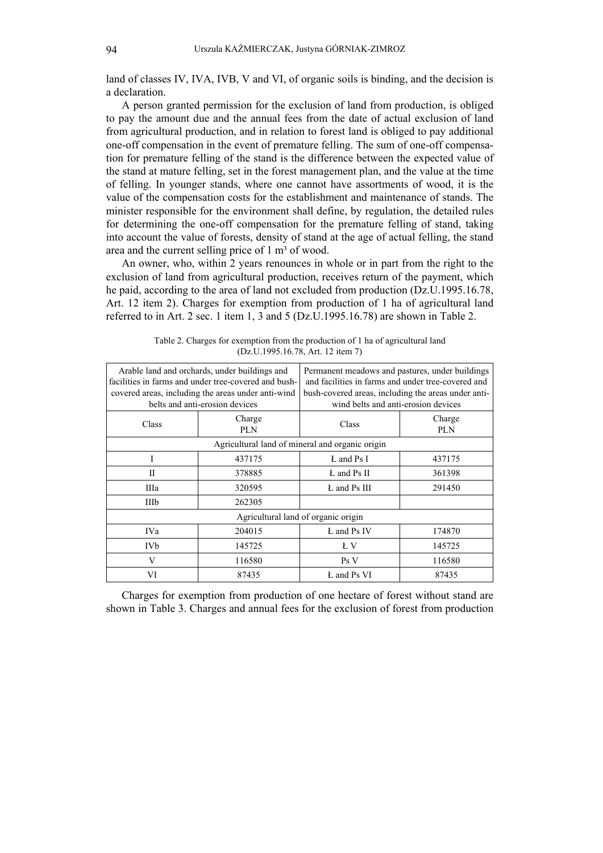land of classes IV, IVA, IVB, V and VI, of organic soils is binding, and the decision is a declaration.

A person granted permission for the exclusion of land from production, is obliged to pay the amount due and the annual fees from the date of actual exclusion of land from agricultural production, and in relation to forest land is obliged to pay additional one-off compensation in the event of premature felling. The sum of one-off compensation for premature felling of the stand is the difference between the expected value of the stand at mature felling, set in the forest management plan, and the value at the time of felling. In younger stands, where one cannot have assortments of wood, it is the value of the compensation costs for the establishment and maintenance of stands. The minister responsible for the environment shall define, by regulation, the detailed rules for determining the one-off compensation for the premature felling of stand, taking into account the value of forests, density of stand at the age of actual felling, the stand area and the current selling price of  $1 \text{ m}^3$  of wood.

An owner, who, within 2 years renounces in whole or in part from the right to the exclusion of land from agricultural production, receives return of the payment, which he paid, according to the area of land not excluded from production (Dz.U.1995.16.78, Art. 12 item 2). Charges for exemption from production of 1 ha of agricultural land referred to in Art. 2 sec. 1 item 1, 3 and 5 (Dz.U.1995.16.78) are shown in Table 2.

| Arable land and orchards, under buildings and<br>facilities in farms and under tree-covered and bush-<br>covered areas, including the areas under anti-wind<br>belts and anti-erosion devices |               | Permanent meadows and pastures, under buildings<br>and facilities in farms and under tree-covered and<br>bush-covered areas, including the areas under anti-<br>wind belts and anti-erosion devices |               |  |  |
|-----------------------------------------------------------------------------------------------------------------------------------------------------------------------------------------------|---------------|-----------------------------------------------------------------------------------------------------------------------------------------------------------------------------------------------------|---------------|--|--|
| Class                                                                                                                                                                                         | Charge<br>PLN | Class                                                                                                                                                                                               | Charge<br>PLN |  |  |
| Agricultural land of mineral and organic origin                                                                                                                                               |               |                                                                                                                                                                                                     |               |  |  |
| I                                                                                                                                                                                             | 437175        | L and Ps I                                                                                                                                                                                          | 437175        |  |  |
| П                                                                                                                                                                                             | 378885        | L and Ps II                                                                                                                                                                                         | 361398        |  |  |
| IIIa                                                                                                                                                                                          | 320595        | L and Ps III                                                                                                                                                                                        | 291450        |  |  |
| IIIb                                                                                                                                                                                          | 262305        |                                                                                                                                                                                                     |               |  |  |
| Agricultural land of organic origin                                                                                                                                                           |               |                                                                                                                                                                                                     |               |  |  |
| IVa                                                                                                                                                                                           | 204015        | L and Ps IV                                                                                                                                                                                         | 174870        |  |  |
| IVb                                                                                                                                                                                           | 145725        | Ł V                                                                                                                                                                                                 | 145725        |  |  |
| V                                                                                                                                                                                             | 116580        | Ps V                                                                                                                                                                                                | 116580        |  |  |
| VI                                                                                                                                                                                            | 87435         | L and Ps VI                                                                                                                                                                                         | 87435         |  |  |

Table 2. Charges for exemption from the production of 1 ha of agricultural land (Dz.U.1995.16.78, Art. 12 item 7)

Charges for exemption from production of one hectare of forest without stand are shown in Table 3. Charges and annual fees for the exclusion of forest from production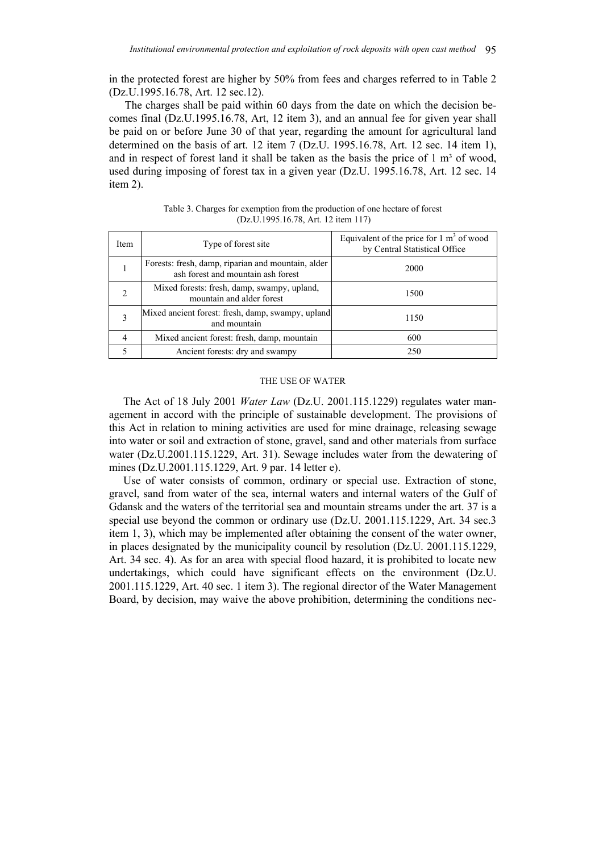in the protected forest are higher by 50% from fees and charges referred to in Table 2 (Dz.U.1995.16.78, Art. 12 sec.12).

The charges shall be paid within 60 days from the date on which the decision becomes final (Dz.U.1995.16.78, Art, 12 item 3), and an annual fee for given year shall be paid on or before June 30 of that year, regarding the amount for agricultural land determined on the basis of art. 12 item 7 (Dz.U. 1995.16.78, Art. 12 sec. 14 item 1), and in respect of forest land it shall be taken as the basis the price of  $1 \text{ m}^3$  of wood, used during imposing of forest tax in a given year (Dz.U. 1995.16.78, Art. 12 sec. 14 item 2).

| Item | Type of forest site                                                                      | Equivalent of the price for $1 \text{ m}^3$ of wood<br>by Central Statistical Office |
|------|------------------------------------------------------------------------------------------|--------------------------------------------------------------------------------------|
|      | Forests: fresh, damp, riparian and mountain, alder<br>ash forest and mountain ash forest | 2000                                                                                 |
| 2    | Mixed forests: fresh, damp, swampy, upland,<br>mountain and alder forest                 | 1500                                                                                 |
|      | Mixed ancient forest: fresh, damp, swampy, upland<br>and mountain                        | 1150                                                                                 |
| 4    | Mixed ancient forest: fresh, damp, mountain                                              | 600                                                                                  |
|      | Ancient forests: dry and swampy                                                          | 250                                                                                  |

Table 3. Charges for exemption from the production of one hectare of forest (Dz.U.1995.16.78, Art. 12 item 117)

#### THE USE OF WATER

The Act of 18 July 2001 *Water Law* (Dz.U. 2001.115.1229) regulates water management in accord with the principle of sustainable development. The provisions of this Act in relation to mining activities are used for mine drainage, releasing sewage into water or soil and extraction of stone, gravel, sand and other materials from surface water (Dz.U.2001.115.1229, Art. 31). Sewage includes water from the dewatering of mines (Dz.U.2001.115.1229, Art. 9 par. 14 letter e).

Use of water consists of common, ordinary or special use. Extraction of stone, gravel, sand from water of the sea, internal waters and internal waters of the Gulf of Gdansk and the waters of the territorial sea and mountain streams under the art. 37 is a special use beyond the common or ordinary use (Dz.U. 2001.115.1229, Art. 34 sec.3 item 1, 3), which may be implemented after obtaining the consent of the water owner, in places designated by the municipality council by resolution (Dz.U. 2001.115.1229, Art. 34 sec. 4). As for an area with special flood hazard, it is prohibited to locate new undertakings, which could have significant effects on the environment (Dz.U. 2001.115.1229, Art. 40 sec. 1 item 3). The regional director of the Water Management Board, by decision, may waive the above prohibition, determining the conditions nec-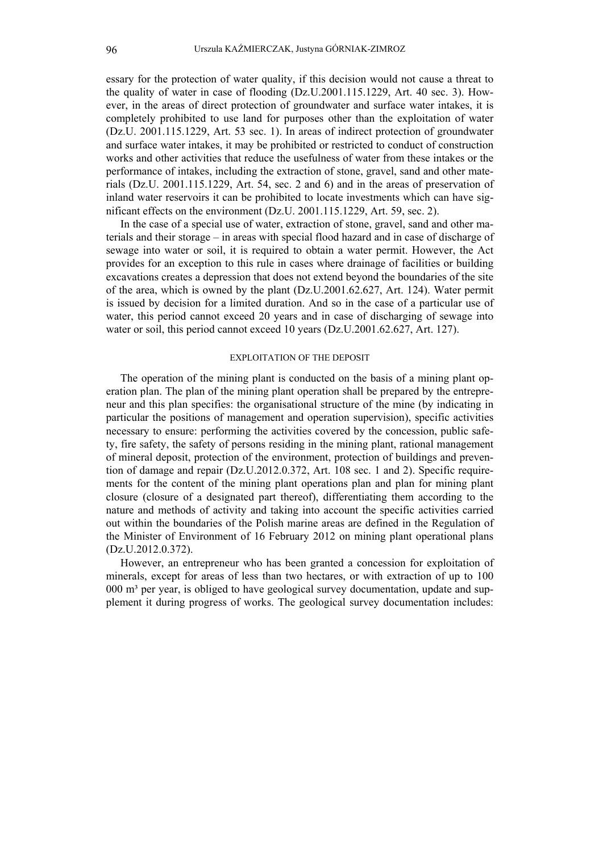essary for the protection of water quality, if this decision would not cause a threat to the quality of water in case of flooding (Dz.U.2001.115.1229, Art. 40 sec. 3). However, in the areas of direct protection of groundwater and surface water intakes, it is completely prohibited to use land for purposes other than the exploitation of water (Dz.U. 2001.115.1229, Art. 53 sec. 1). In areas of indirect protection of groundwater and surface water intakes, it may be prohibited or restricted to conduct of construction works and other activities that reduce the usefulness of water from these intakes or the performance of intakes, including the extraction of stone, gravel, sand and other materials (Dz.U. 2001.115.1229, Art. 54, sec. 2 and 6) and in the areas of preservation of inland water reservoirs it can be prohibited to locate investments which can have significant effects on the environment (Dz.U. 2001.115.1229, Art. 59, sec. 2).

In the case of a special use of water, extraction of stone, gravel, sand and other materials and their storage – in areas with special flood hazard and in case of discharge of sewage into water or soil, it is required to obtain a water permit. However, the Act provides for an exception to this rule in cases where drainage of facilities or building excavations creates a depression that does not extend beyond the boundaries of the site of the area, which is owned by the plant (Dz.U.2001.62.627, Art. 124). Water permit is issued by decision for a limited duration. And so in the case of a particular use of water, this period cannot exceed 20 years and in case of discharging of sewage into water or soil, this period cannot exceed 10 years (Dz.U.2001.62.627, Art. 127).

#### EXPLOITATION OF THE DEPOSIT

The operation of the mining plant is conducted on the basis of a mining plant operation plan. The plan of the mining plant operation shall be prepared by the entrepreneur and this plan specifies: the organisational structure of the mine (by indicating in particular the positions of management and operation supervision), specific activities necessary to ensure: performing the activities covered by the concession, public safety, fire safety, the safety of persons residing in the mining plant, rational management of mineral deposit, protection of the environment, protection of buildings and prevention of damage and repair (Dz.U.2012.0.372, Art. 108 sec. 1 and 2). Specific requirements for the content of the mining plant operations plan and plan for mining plant closure (closure of a designated part thereof), differentiating them according to the nature and methods of activity and taking into account the specific activities carried out within the boundaries of the Polish marine areas are defined in the Regulation of the Minister of Environment of 16 February 2012 on mining plant operational plans (Dz.U.2012.0.372).

However, an entrepreneur who has been granted a concession for exploitation of minerals, except for areas of less than two hectares, or with extraction of up to 100 000 m<sup>3</sup> per year, is obliged to have geological survey documentation, update and supplement it during progress of works. The geological survey documentation includes: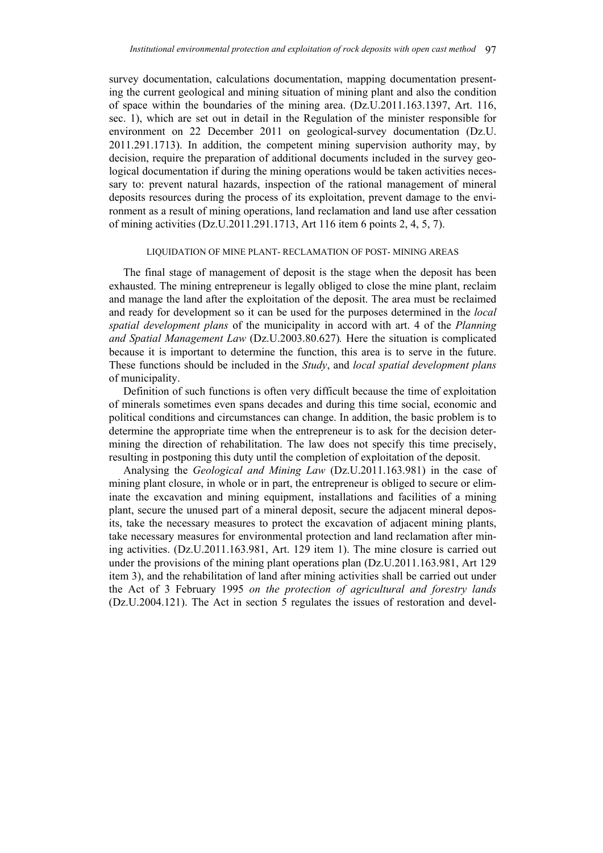survey documentation, calculations documentation, mapping documentation presenting the current geological and mining situation of mining plant and also the condition of space within the boundaries of the mining area. (Dz.U.2011.163.1397, Art. 116, sec. 1), which are set out in detail in the Regulation of the minister responsible for environment on 22 December 2011 on geological-survey documentation (Dz.U. 2011.291.1713). In addition, the competent mining supervision authority may, by decision, require the preparation of additional documents included in the survey geological documentation if during the mining operations would be taken activities necessary to: prevent natural hazards, inspection of the rational management of mineral deposits resources during the process of its exploitation, prevent damage to the environment as a result of mining operations, land reclamation and land use after cessation of mining activities (Dz.U.2011.291.1713, Art 116 item 6 points 2, 4, 5, 7).

#### LIQUIDATION OF MINE PLANT- RECLAMATION OF POST- MINING AREAS

The final stage of management of deposit is the stage when the deposit has been exhausted. The mining entrepreneur is legally obliged to close the mine plant, reclaim and manage the land after the exploitation of the deposit. The area must be reclaimed and ready for development so it can be used for the purposes determined in the *local spatial development plans* of the municipality in accord with art. 4 of the *Planning and Spatial Management Law* (Dz.U.2003.80.627)*.* Here the situation is complicated because it is important to determine the function, this area is to serve in the future. These functions should be included in the *Study*, and *local spatial development plans* of municipality.

Definition of such functions is often very difficult because the time of exploitation of minerals sometimes even spans decades and during this time social, economic and political conditions and circumstances can change. In addition, the basic problem is to determine the appropriate time when the entrepreneur is to ask for the decision determining the direction of rehabilitation. The law does not specify this time precisely, resulting in postponing this duty until the completion of exploitation of the deposit.

Analysing the *Geological and Mining Law* (Dz.U.2011.163.981) in the case of mining plant closure, in whole or in part, the entrepreneur is obliged to secure or eliminate the excavation and mining equipment, installations and facilities of a mining plant, secure the unused part of a mineral deposit, secure the adjacent mineral deposits, take the necessary measures to protect the excavation of adjacent mining plants, take necessary measures for environmental protection and land reclamation after mining activities. (Dz.U.2011.163.981, Art. 129 item 1). The mine closure is carried out under the provisions of the mining plant operations plan (Dz.U.2011.163.981, Art 129 item 3), and the rehabilitation of land after mining activities shall be carried out under the Act of 3 February 1995 *on the protection of agricultural and forestry lands*  (Dz.U.2004.121). The Act in section 5 regulates the issues of restoration and devel-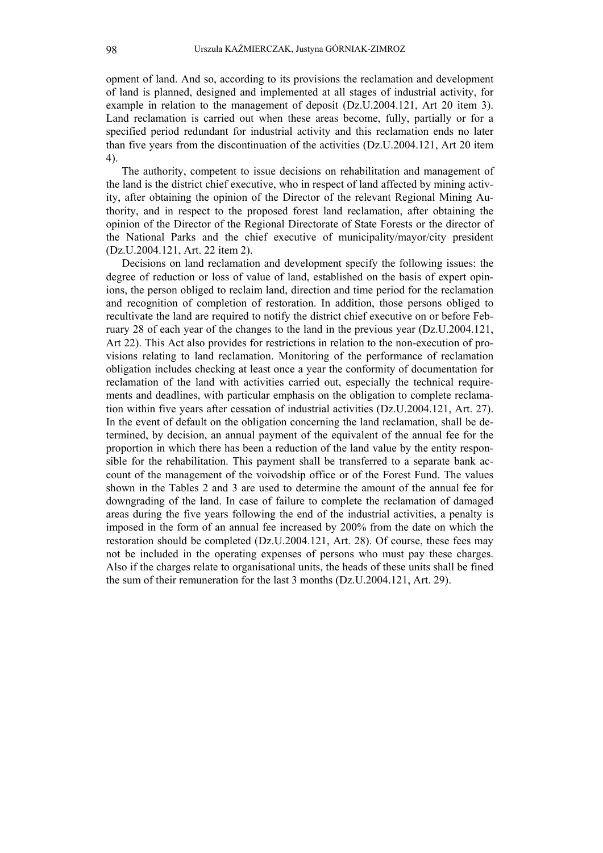opment of land. And so, according to its provisions the reclamation and development of land is planned, designed and implemented at all stages of industrial activity, for example in relation to the management of deposit (Dz.U.2004.121, Art 20 item 3). Land reclamation is carried out when these areas become, fully, partially or for a specified period redundant for industrial activity and this reclamation ends no later than five years from the discontinuation of the activities (Dz.U.2004.121, Art 20 item 4).

The authority, competent to issue decisions on rehabilitation and management of the land is the district chief executive, who in respect of land affected by mining activity, after obtaining the opinion of the Director of the relevant Regional Mining Authority, and in respect to the proposed forest land reclamation, after obtaining the opinion of the Director of the Regional Directorate of State Forests or the director of the National Parks and the chief executive of municipality/mayor/city president (Dz.U.2004.121, Art. 22 item 2).

Decisions on land reclamation and development specify the following issues: the degree of reduction or loss of value of land, established on the basis of expert opinions, the person obliged to reclaim land, direction and time period for the reclamation and recognition of completion of restoration. In addition, those persons obliged to recultivate the land are required to notify the district chief executive on or before February 28 of each year of the changes to the land in the previous year (Dz.U.2004.121, Art 22). This Act also provides for restrictions in relation to the non-execution of provisions relating to land reclamation. Monitoring of the performance of reclamation obligation includes checking at least once a year the conformity of documentation for reclamation of the land with activities carried out, especially the technical requirements and deadlines, with particular emphasis on the obligation to complete reclamation within five years after cessation of industrial activities (Dz.U.2004.121, Art. 27). In the event of default on the obligation concerning the land reclamation, shall be determined, by decision, an annual payment of the equivalent of the annual fee for the proportion in which there has been a reduction of the land value by the entity responsible for the rehabilitation. This payment shall be transferred to a separate bank account of the management of the voivodship office or of the Forest Fund. The values shown in the Tables 2 and 3 are used to determine the amount of the annual fee for downgrading of the land. In case of failure to complete the reclamation of damaged areas during the five years following the end of the industrial activities, a penalty is imposed in the form of an annual fee increased by 200% from the date on which the restoration should be completed (Dz.U.2004.121, Art. 28). Of course, these fees may not be included in the operating expenses of persons who must pay these charges. Also if the charges relate to organisational units, the heads of these units shall be fined the sum of their remuneration for the last 3 months (Dz.U.2004.121, Art. 29).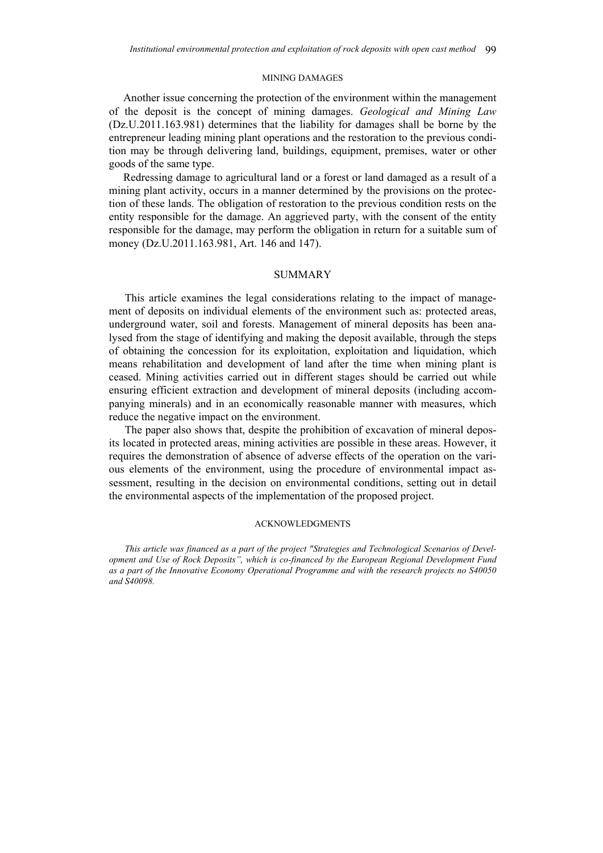#### MINING DAMAGES

Another issue concerning the protection of the environment within the management of the deposit is the concept of mining damages. *Geological and Mining Law* (Dz.U.2011.163.981) determines that the liability for damages shall be borne by the entrepreneur leading mining plant operations and the restoration to the previous condition may be through delivering land, buildings, equipment, premises, water or other goods of the same type.

Redressing damage to agricultural land or a forest or land damaged as a result of a mining plant activity, occurs in a manner determined by the provisions on the protection of these lands. The obligation of restoration to the previous condition rests on the entity responsible for the damage. An aggrieved party, with the consent of the entity responsible for the damage, may perform the obligation in return for a suitable sum of money (Dz.U.2011.163.981, Art. 146 and 147).

## **SUMMARY**

This article examines the legal considerations relating to the impact of management of deposits on individual elements of the environment such as: protected areas, underground water, soil and forests. Management of mineral deposits has been analysed from the stage of identifying and making the deposit available, through the steps of obtaining the concession for its exploitation, exploitation and liquidation, which means rehabilitation and development of land after the time when mining plant is ceased. Mining activities carried out in different stages should be carried out while ensuring efficient extraction and development of mineral deposits (including accompanying minerals) and in an economically reasonable manner with measures, which reduce the negative impact on the environment.

The paper also shows that, despite the prohibition of excavation of mineral deposits located in protected areas, mining activities are possible in these areas. However, it requires the demonstration of absence of adverse effects of the operation on the various elements of the environment, using the procedure of environmental impact assessment, resulting in the decision on environmental conditions, setting out in detail the environmental aspects of the implementation of the proposed project.

#### ACKNOWLEDGMENTS

*This article was financed as a part of the project "Strategies and Technological Scenarios of Development and Use of Rock Deposits", which is co-financed by the European Regional Development Fund as a part of the Innovative Economy Operational Programme and with the research projects no S40050 and S40098.*